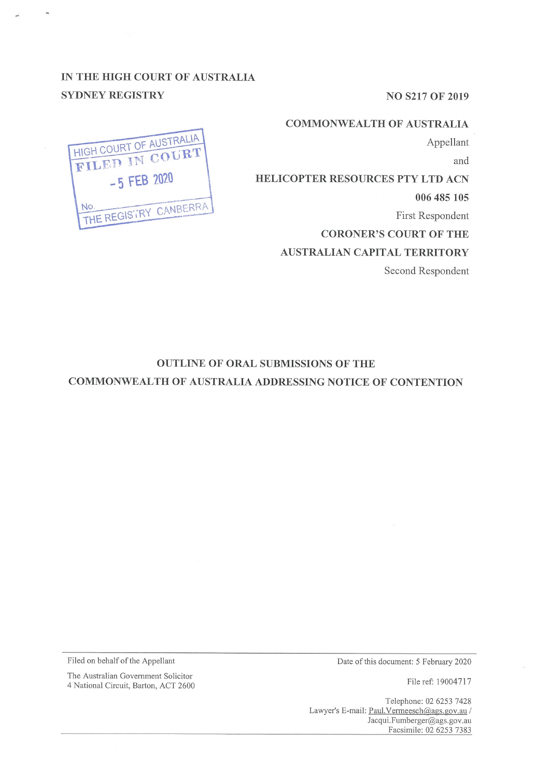**NO S217 OF 2019** 

## **COMMONWEAL TH OF AUSTRALIA**

Appellant

and

**HELICOPTER RESOURCES PTY LTD ACN** 

**006 485 105** 

First Respondent

**CORONER'S COURT OF THE** 

**AUSTRALIAN CAPITAL TERRITORY** 

Second Respondent

# **IN THE HIGH COURT OF AUSTRALIA SYDNEY REGISTRY**



## **OUTLINE OF ORAL SUBMISSIONS OF THE**

**COMMONWEALTH OF AUSTRALIA ADDRESSING NOTICE OF CONTENTION** 

Filed on behalf of the Appellant

Date of this document: 5 February 2020

File ref: 19004717

Telephone: 02 6253 7428 Lawyer's E-mail: Paul.Vermeesch@ags.gov.au / Jacqui.Fumberger@ags.gov.au Facsimile: 02 6253 7383

The Australian Government Solicitor

4 National Circuit, Barton, ACT 2600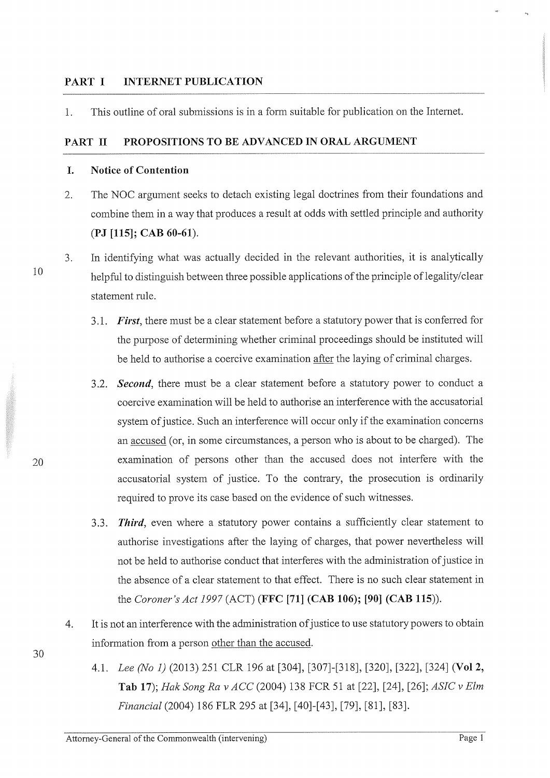## **PART I INTERNET PUBLICATION**

1. This outline of oral submissions is in a form suitable for publication on the Internet.

#### **PART II PROPOSITIONS TO BE ADVANCED IN ORAL ARGUMENT**

#### **I. Notice of Contention**

- 2. The NOC argument seeks to detach existing legal doctrines from their foundations and combine them in a way that produces a result at odds with settled principle and authority **(PJ [115]; CAB 60-61).**
- 3. In identifying what was actually decided in the relevant authorities, it is analytically helpful to distinguish between three possible applications of the principle of legality/clear statement rule.
	- 3 .1. *First,* there must be a clear statement before a statutory power that is conferred for the purpose of determining whether criminal proceedings should be instituted will be held to authorise a coercive examination after the laying of criminal charges.
	- 3 .2. *Second,* there must be a clear statement before a statutory power to conduct a coercive examination will be held to authorise an interference with the accusatorial system of justice. Such an interference will occur only if the examination concerns an accused ( or, in some circumstances, a person who is about to be charged). The examination of persons other than the accused does not interfere with the accusatorial system of justice. To the contrary, the prosecution is ordinarily required to prove its case based on the evidence of such witnesses.
	- 3.3. *Third,* even where a statutory power contains a sufficiently clear statement to authorise investigations after the laying of charges, that power nevertheless will not be held to authorise conduct that interferes with the administration of justice in the absence of a clear statement to that effect. There is no such clear statement in the *Coroner's Act 1997* (ACT) **(FFC [71] (CAB 106); [90] (CAB 115)).**
- 4. It is not an interference with the administration of justice to use statutory powers to obtain information from a person other than the accused.
	- 4.1. *Lee (No* 1) (2013) 251 CLR 196 at [304], [307]-[318], [320], [322], [324] **(Vol 2, Tab 17);** *Hak Song Rav ACC* (2004) 138 FCR 51 at [22], [24], [26]; *ASIC v Elm Financial* (2004) 186 FLR 295 at [34], [40]-[43], [79], [81], [83].

10

20

30